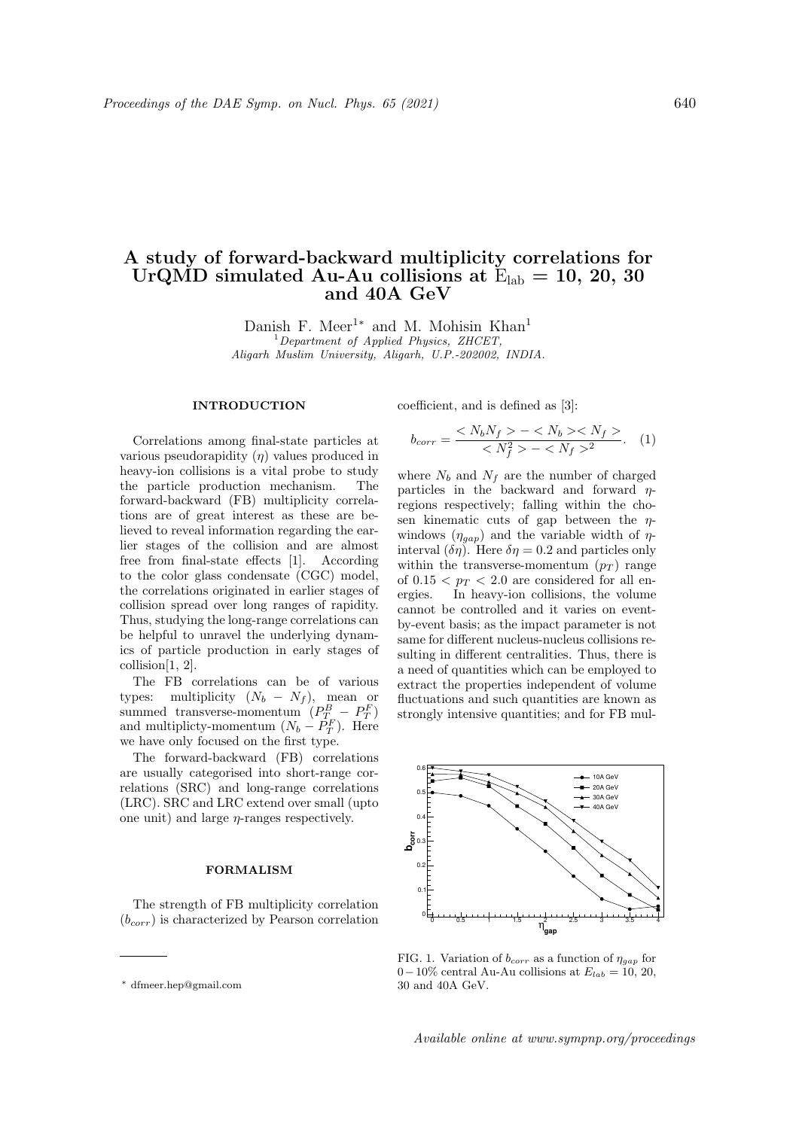## A study of forward-backward multiplicity correlations for UrQMD simulated Au-Au collisions at  $E_{lab} = 10, 20, 30$ and 40A GeV

Danish F. Meer<sup>1∗</sup> and M. Mohisin Khan<sup>1</sup>  $1$ <sup>1</sup>Department of Applied Physics, ZHCET, Aligarh Muslim University, Aligarh, U.P.-202002, INDIA.

## INTRODUCTION

Correlations among final-state particles at various pseudorapidity  $(\eta)$  values produced in heavy-ion collisions is a vital probe to study the particle production mechanism. The forward-backward (FB) multiplicity correlations are of great interest as these are believed to reveal information regarding the earlier stages of the collision and are almost free from final-state effects [1]. According to the color glass condensate (CGC) model, the correlations originated in earlier stages of collision spread over long ranges of rapidity. Thus, studying the long-range correlations can be helpful to unravel the underlying dynamics of particle production in early stages of collision[1, 2].

The FB correlations can be of various types: multiplicity  $(N_b - N_f)$ , mean or summed transverse-momentum  $(P_{T_n}^B - P_T^F)$ summed transverse-momentum  $(Y_T - T_T)$ <br>and multiplicty-momentum  $(N_b - P_T^F)$ . Here we have only focused on the first type.

The forward-backward (FB) correlations are usually categorised into short-range correlations (SRC) and long-range correlations (LRC). SRC and LRC extend over small (upto one unit) and large  $\eta$ -ranges respectively.

## FORMALISM

The strength of FB multiplicity correlation  $(b_{corr})$  is characterized by Pearson correlation coefficient, and is defined as [3]:

$$
b_{corr} = \frac{< N_b N_f > - < N_b > < N_f >}{< N_f^2 > - < N_f >^2}.\tag{1}
$$

where  $N_b$  and  $N_f$  are the number of charged particles in the backward and forward  $\eta$ regions respectively; falling within the chosen kinematic cuts of gap between the  $\eta$ windows  $(\eta_{gap})$  and the variable width of  $\eta$ interval  $(\delta \eta)$ . Here  $\delta \eta = 0.2$  and particles only within the transverse-momentum  $(p_T)$  range of  $0.15 < p_T < 2.0$  are considered for all energies. In heavy-ion collisions, the volume cannot be controlled and it varies on eventby-event basis; as the impact parameter is not same for different nucleus-nucleus collisions resulting in different centralities. Thus, there is a need of quantities which can be employed to extract the properties independent of volume fluctuations and such quantities are known as strongly intensive quantities; and for FB mul-



FIG. 1. Variation of  $b_{corr}$  as a function of  $\eta_{gap}$  for 0−10% central Au-Au collisions at  $E_{lab} = 10, 20,$ 30 and 40A GeV.

Available online at www.sympnp.org/proceedings

<sup>∗</sup> dfmeer.hep@gmail.com